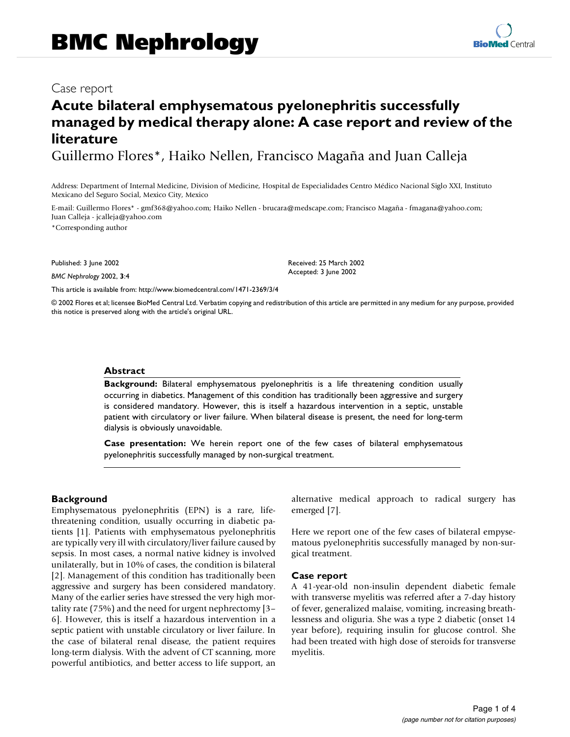# Case report

# **Acute bilateral emphysematous pyelonephritis successfully managed by medical therapy alone: A case report and review of the literature**

Guillermo Flores\*, Haiko Nellen, Francisco Magaña and Juan Calleja

Address: Department of Internal Medicine, Division of Medicine, Hospital de Especialidades Centro Médico Nacional Siglo XXI, Instituto Mexicano del Seguro Social, Mexico City, Mexico

E-mail: Guillermo Flores\* - gmf368@yahoo.com; Haiko Nellen - brucara@medscape.com; Francisco Magaña - fmagana@yahoo.com; Juan Calleja - jcalleja@yahoo.com

\*Corresponding author

Published: 3 June 2002

*BMC Nephrology* 2002, **3**:4

[This article is available from: http://www.biomedcentral.com/1471-2369/3/4](http://www.biomedcentral.com/1471-2369/3/4)

© 2002 Flores et al; licensee BioMed Central Ltd. Verbatim copying and redistribution of this article are permitted in any medium for any purpose, provided this notice is preserved along with the article's original URL.

Received: 25 March 2002 Accepted: 3 June 2002

# **Abstract**

**Background:** Bilateral emphysematous pyelonephritis is a life threatening condition usually occurring in diabetics. Management of this condition has traditionally been aggressive and surgery is considered mandatory. However, this is itself a hazardous intervention in a septic, unstable patient with circulatory or liver failure. When bilateral disease is present, the need for long-term dialysis is obviously unavoidable.

**Case presentation:** We herein report one of the few cases of bilateral emphysematous pyelonephritis successfully managed by non-surgical treatment.

# **Background**

Emphysematous pyelonephritis (EPN) is a rare, lifethreatening condition, usually occurring in diabetic patients [1]. Patients with emphysematous pyelonephritis are typically very ill with circulatory/liver failure caused by sepsis. In most cases, a normal native kidney is involved unilaterally, but in 10% of cases, the condition is bilateral [2]. Management of this condition has traditionally been aggressive and surgery has been considered mandatory. Many of the earlier series have stressed the very high mortality rate (75%) and the need for urgent nephrectomy [3– 6]. However, this is itself a hazardous intervention in a septic patient with unstable circulatory or liver failure. In the case of bilateral renal disease, the patient requires long-term dialysis. With the advent of CT scanning, more powerful antibiotics, and better access to life support, an

alternative medical approach to radical surgery has emerged [7].

Here we report one of the few cases of bilateral empysematous pyelonephritis successfully managed by non-surgical treatment.

# **Case report**

A 41-year-old non-insulin dependent diabetic female with transverse myelitis was referred after a 7-day history of fever, generalized malaise, vomiting, increasing breathlessness and oliguria. She was a type 2 diabetic (onset 14 year before), requiring insulin for glucose control. She had been treated with high dose of steroids for transverse myelitis.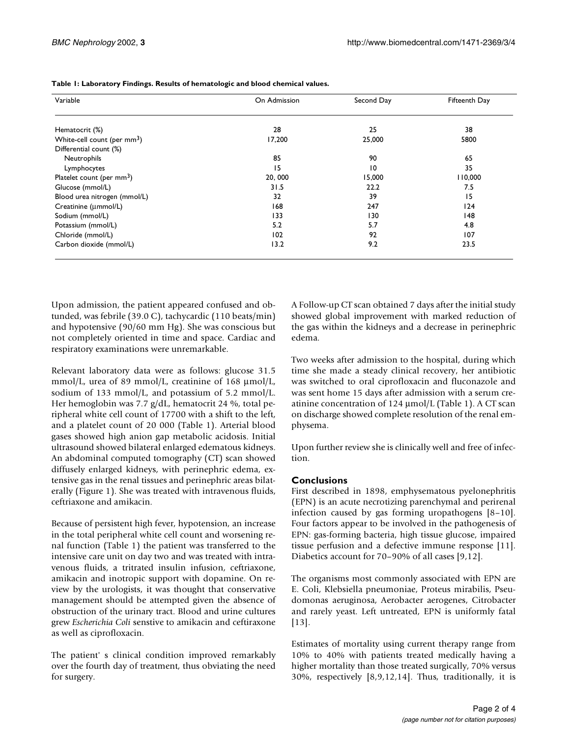| Variable                      | On Admission | Second Day      | Fifteenth Day |
|-------------------------------|--------------|-----------------|---------------|
| Hematocrit (%)                | 28           | 25              | 38            |
| White-cell count (per $mm3$ ) | 17,200       | 25,000          | 5800          |
| Differential count (%)        |              |                 |               |
| Neutrophils                   | 85           | 90              | 65            |
| Lymphocytes                   | 15           | $\overline{10}$ | 35            |
| Platelet count (per $mm3$ )   | 20,000       | 15,000          | 110,000       |
| Glucose (mmol/L)              | 31.5         | 22.2            | 7.5           |
| Blood urea nitrogen (mmol/L)  | 32           | 39              | 15            |
| Creatinine (µmmol/L)          | 168          | 247             | 124           |
| Sodium (mmol/L)               | 133          | 130             | 148           |
| Potassium (mmol/L)            | 5.2          | 5.7             | 4.8           |
| Chloride (mmol/L)             | 102          | 92              | 107           |
| Carbon dioxide (mmol/L)       | 13.2         | 9.2             | 23.5          |

**Table 1: Laboratory Findings. Results of hematologic and blood chemical values.**

Upon admission, the patient appeared confused and obtunded, was febrile (39.0 C), tachycardic (110 beats/min) and hypotensive (90/60 mm Hg). She was conscious but not completely oriented in time and space. Cardiac and respiratory examinations were unremarkable.

Relevant laboratory data were as follows: glucose 31.5 mmol/L, urea of 89 mmol/L, creatinine of 168  $\mu$ mol/L, sodium of 133 mmol/L, and potassium of 5.2 mmol/L. Her hemoglobin was 7.7 g/dL, hematocrit 24 %, total peripheral white cell count of 17700 with a shift to the left, and a platelet count of 20 000 (Table 1). Arterial blood gases showed high anion gap metabolic acidosis. Initial ultrasound showed bilateral enlarged edematous kidneys. An abdominal computed tomography (CT) scan showed diffusely enlarged kidneys, with perinephric edema, extensive gas in the renal tissues and perinephric areas bilaterally (Figure 1). She was treated with intravenous fluids, ceftriaxone and amikacin.

Because of persistent high fever, hypotension, an increase in the total peripheral white cell count and worsening renal function (Table 1) the patient was transferred to the intensive care unit on day two and was treated with intravenous fluids, a tritrated insulin infusion, ceftriaxone, amikacin and inotropic support with dopamine. On review by the urologists, it was thought that conservative management should be attempted given the absence of obstruction of the urinary tract. Blood and urine cultures grew *Escherichia Coli* senstive to amikacin and ceftiraxone as well as ciprofloxacin.

The patient' s clinical condition improved remarkably over the fourth day of treatment, thus obviating the need for surgery.

A Follow-up CT scan obtained 7 days after the initial study showed global improvement with marked reduction of the gas within the kidneys and a decrease in perinephric edema.

Two weeks after admission to the hospital, during which time she made a steady clinical recovery, her antibiotic was switched to oral ciprofloxacin and fluconazole and was sent home 15 days after admission with a serum creatinine concentration of 124 µmol/L (Table 1). A CT scan on discharge showed complete resolution of the renal emphysema.

Upon further review she is clinically well and free of infection.

# **Conclusions**

First described in 1898, emphysematous pyelonephritis (EPN) is an acute necrotizing parenchymal and perirenal infection caused by gas forming uropathogens [8–10]. Four factors appear to be involved in the pathogenesis of EPN: gas-forming bacteria, high tissue glucose, impaired tissue perfusion and a defective immune response [11]. Diabetics account for 70–90% of all cases [9,12].

The organisms most commonly associated with EPN are E. Coli, Klebsiella pneumoniae, Proteus mirabilis, Pseudomonas aeruginosa, Aerobacter aerogenes, Citrobacter and rarely yeast. Left untreated, EPN is uniformly fatal [13].

Estimates of mortality using current therapy range from 10% to 40% with patients treated medically having a higher mortality than those treated surgically, 70% versus 30%, respectively [8,9,12,14]. Thus, traditionally, it is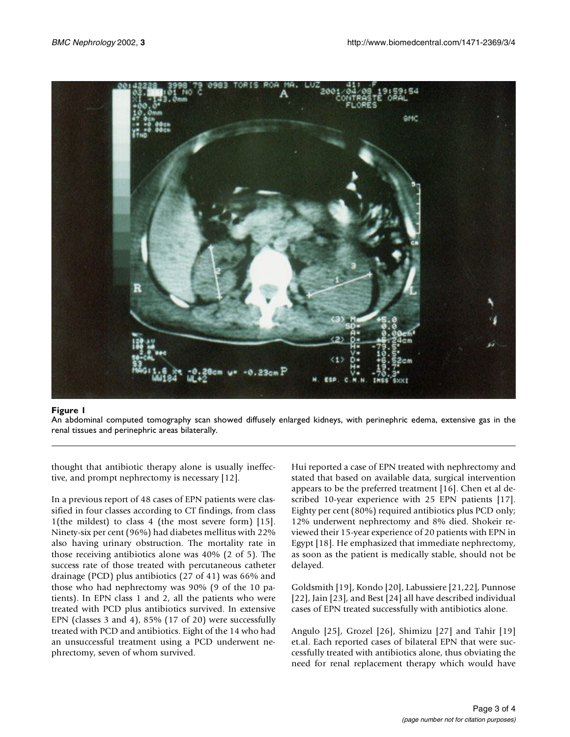

# **Figure 1**

An abdominal computed tomography scan showed diffusely enlarged kidneys, with perinephric edema, extensive gas in the renal tissues and perinephric areas bilaterally.

thought that antibiotic therapy alone is usually ineffective, and prompt nephrectomy is necessary [12].

In a previous report of 48 cases of EPN patients were classified in four classes according to CT findings, from class 1(the mildest) to class 4 (the most severe form) [15]. Ninety-six per cent (96%) had diabetes mellitus with 22% also having urinary obstruction. The mortality rate in those receiving antibiotics alone was 40% (2 of 5). The success rate of those treated with percutaneous catheter drainage (PCD) plus antibiotics (27 of 41) was 66% and those who had nephrectomy was 90% (9 of the 10 patients). In EPN class 1 and 2, all the patients who were treated with PCD plus antibiotics survived. In extensive EPN (classes 3 and 4), 85% (17 of 20) were successfully treated with PCD and antibiotics. Eight of the 14 who had an unsuccessful treatment using a PCD underwent nephrectomy, seven of whom survived.

Hui reported a case of EPN treated with nephrectomy and stated that based on available data, surgical intervention appears to be the preferred treatment [16]. Chen et al described 10-year experience with 25 EPN patients [17]. Eighty per cent (80%) required antibiotics plus PCD only; 12% underwent nephrectomy and 8% died. Shokeir reviewed their 15-year experience of 20 patients with EPN in Egypt [18]. He emphasized that immediate nephrectomy, as soon as the patient is medically stable, should not be delayed.

Goldsmith [19], Kondo [20], Labussiere [21,22], Punnose [22], Jain [23], and Best [24] all have described individual cases of EPN treated successfully with antibiotics alone.

Angulo [25], Grozel [26], Shimizu [27] and Tahir [19] et.al. Each reported cases of bilateral EPN that were successfully treated with antibiotics alone, thus obviating the need for renal replacement therapy which would have